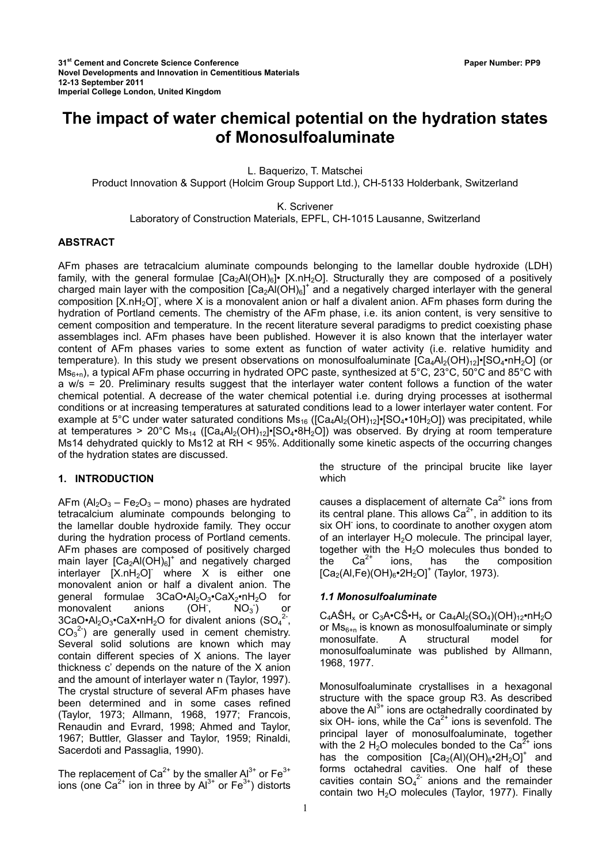# **The impact of water chemical potential on the hydration states of Monosulfoaluminate**

L. Baquerizo, T. Matschei

Product Innovation & Support (Holcim Group Support Ltd.), CH-5133 Holderbank, Switzerland

K. Scrivener

Laboratory of Construction Materials, EPFL, CH-1015 Lausanne, Switzerland

#### **ABSTRACT**

AFm phases are tetracalcium aluminate compounds belonging to the lamellar double hydroxide (LDH) family, with the general formulae  $[Ca<sub>2</sub>Al(OH)<sub>6</sub>]$  [X.nH<sub>2</sub>O]. Structurally they are composed of a positively charged main layer with the composition  $[Ca<sub>2</sub>Al(OH)<sub>6</sub>]<sup>+</sup>$  and a negatively charged interlayer with the general composition [X.nH<sub>2</sub>O], where X is a monovalent anion or half a divalent anion. AFm phases form during the hydration of Portland cements. The chemistry of the AFm phase, i.e. its anion content, is very sensitive to cement composition and temperature. In the recent literature several paradigms to predict coexisting phase assemblages incl. AFm phases have been published. However it is also known that the interlayer water content of AFm phases varies to some extent as function of water activity (i.e. relative humidity and temperature). In this study we present observations on monosulfoaluminate  $[Ca_4Al_2(OH)_{12}]$ •[SO<sub>4</sub>•nH<sub>2</sub>O] (or  $MS<sub>6+n</sub>$ , a typical AFm phase occurring in hydrated OPC paste, synthesized at 5°C, 23°C, 50°C and 85°C with a w/s = 20. Preliminary results suggest that the interlayer water content follows a function of the water chemical potential. A decrease of the water chemical potential i.e. during drying processes at isothermal conditions or at increasing temperatures at saturated conditions lead to a lower interlayer water content. For example at 5°C under water saturated conditions  $\text{Ms}_{16}$  ([Ca<sub>4</sub>Al<sub>2</sub>(OH)<sub>12</sub>]•[SO<sub>4</sub>•10H<sub>2</sub>O]) was precipitated, while at temperatures > 20°C Ms<sub>14</sub> ( $[Ca_4A_2(OH)_{12}]$ •[SO<sub>4</sub>•8H<sub>2</sub>O]) was observed. By drying at room temperature Ms14 dehydrated quickly to Ms12 at RH < 95%. Additionally some kinetic aspects of the occurring changes of the hydration states are discussed.

# **1. INTRODUCTION**

AFm  $(A_2O_3 - Fe_2O_3 - m$ ono) phases are hydrated tetracalcium aluminate compounds belonging to the lamellar double hydroxide family. They occur during the hydration process of Portland cements. AFm phases are composed of positively charged main layer  $[Ca<sub>2</sub>Al(OH)<sub>6</sub>]<sup>+</sup>$  and negatively charged interlayer  $[X.nH<sub>2</sub>O]$  where X is either one monovalent anion or half a divalent anion. The general formulae  $3CaO·Al<sub>2</sub>O<sub>3</sub>·CaX<sub>2</sub>·nH<sub>2</sub>O$  for monovalent anions (OH<sup>-</sup>,  $\overline{NO_3}$ ) or  $3CaQ \cdot Al_2O_3 \cdot CaX \cdot nH_2O$  for divalent anions (SO<sub>4</sub><sup>2</sup>,  $CO<sub>3</sub><sup>2</sup>$ ) are generally used in cement chemistry. Several solid solutions are known which may contain different species of X anions. The layer thickness c' depends on the nature of the X anion and the amount of interlayer water n (Taylor, 1997). The crystal structure of several AFm phases have been determined and in some cases refined (Taylor, 1973; Allmann, 1968, 1977; Francois, Renaudin and Evrard, 1998; Ahmed and Taylor, 1967; Buttler, Glasser and Taylor, 1959; Rinaldi, Sacerdoti and Passaglia, 1990).

The replacement of  $Ca^{2+}$  by the smaller  $Al^{3+}$  or  $Fe^{3+}$ ions (one  $Ca^{2+}$  ion in three by  $Al^{3+}$  or  $Fe^{3+}$ ) distorts the structure of the principal brucite like layer which

causes a displacement of alternate  $Ca<sup>2+</sup>$  ions from its central plane. This allows  $Ca<sup>2+</sup>$ , in addition to its six OH ions, to coordinate to another oxygen atom of an interlayer  $H_2O$  molecule. The principal layer, together with the H<sub>2</sub>O molecules thus bonded to<br>the  $Ca^{2+}$  ions, has the composition the  $Ca^{2+}$  ions, has the composition  $[Ca_2(A), Fe)(OH)_6$ •2H<sub>2</sub>O]<sup>+</sup> (Taylor, 1973).

#### *1.1 Monosulfoaluminate*

 $C_4A\hat{S}H_x$  or  $C_3A\cdot C\hat{S}\cdot H_x$  or  $Ca_4Al_2(SO_4)(OH)_{12}\cdot nH_2O$ or  $\mathsf{Ms}_{6+n}$  is known as monosulfoaluminate or simply monosulfate. A structural model for monosulfoaluminate was published by Allmann, 1968, 1977.

Monosulfoaluminate crystallises in a hexagonal structure with the space group R3. As described above the  $Al^{3+}$  ions are octahedrally coordinated by six OH- ions, while the  $Ca^{2+}$  ions is sevenfold. The principal layer of monosulfoaluminate, together with the 2  $H_2O$  molecules bonded to the Ca<sup>2+</sup> ions has the composition  $[Ca_2(A)](OH)_{6}$ •2H<sub>2</sub>O]<sup>+</sup> and forms octahedral cavities. One half of these cavities contain  $SO_4^2$  anions and the remainder contain two H<sub>2</sub>O molecules (Taylor, 1977). Finally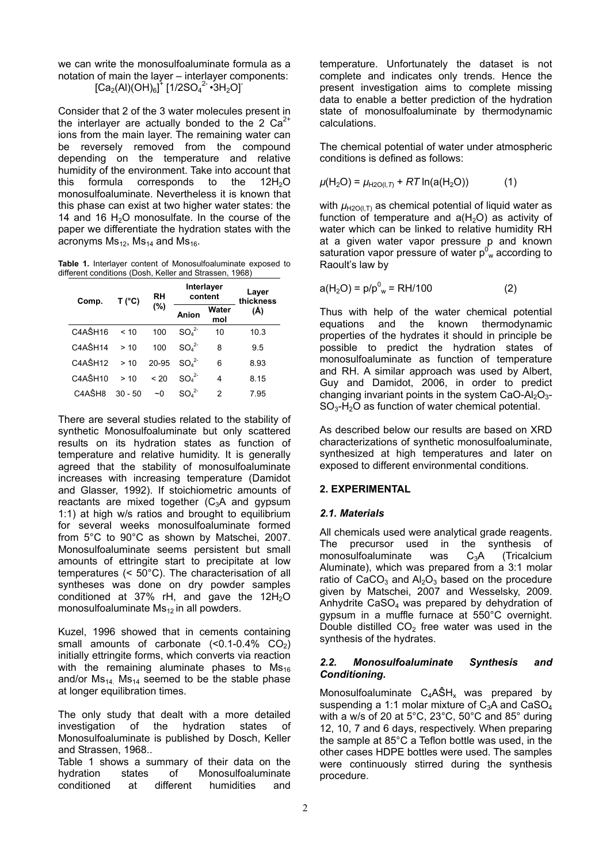we can write the monosulfoaluminate formula as a notation of main the layer – interlayer components:  $\left[ \text{Ca}_{2}(\text{Al})(\text{OH})_{6}\right] ^{\ddagger }\left[ 1/2\text{SO}_{4}{}^{2}\cdot 3\text{H}_{2}\text{O}\right] ^{-}$ 

Consider that 2 of the 3 water molecules present in the interlayer are actually bonded to the 2  $Ca<sup>2+</sup>$ ions from the main layer. The remaining water can be reversely removed from the compound depending on the temperature and relative humidity of the environment. Take into account that this formula corresponds to the  $12H<sub>2</sub>O$ monosulfoaluminate. Nevertheless it is known that this phase can exist at two higher water states: the 14 and 16  $H<sub>2</sub>O$  monosulfate. In the course of the paper we differentiate the hydration states with the acronyms  $Ms_{12}$ ,  $Ms_{14}$  and  $Ms_{16}$ .

**Table 1.** Interlayer content of Monosulfoaluminate exposed to different conditions (Dosh, Keller and Strassen, 1968)

| Comp.                            | $T(^{\circ}C)$ | RH<br>(%) | Interlayer<br>content        |              | Layer<br>thickness |
|----------------------------------|----------------|-----------|------------------------------|--------------|--------------------|
|                                  |                |           | Anion                        | Water<br>mol | (Å)                |
| C <sub>4</sub> AŜH <sub>16</sub> | < 10           | 100       | SO <sub>4</sub> <sup>2</sup> | 10           | 10.3               |
| C <sub>4</sub> AŜH <sub>14</sub> | >10            | 100       | SO <sub>4</sub> <sup>2</sup> | 8            | 9.5                |
| C <sub>4</sub> AŜH <sub>12</sub> | >10            | 20-95     | SO <sub>4</sub> <sup>2</sup> | 6            | 8.93               |
| $C4A\hat{S}H10$                  | >10            | < 20      | SO <sub>4</sub> <sup>2</sup> | 4            | 8.15               |
| C <sub>4</sub> AŜH8              | $30 - 50$      | $\sim$ 0  | SO <sub>4</sub> <sup>2</sup> | 2            | 795                |

There are several studies related to the stability of synthetic Monosulfoaluminate but only scattered results on its hydration states as function of temperature and relative humidity. It is generally agreed that the stability of monosulfoaluminate increases with increasing temperature (Damidot and Glasser, 1992). If stoichiometric amounts of reactants are mixed together  $(C_3A$  and gypsum 1:1) at high w/s ratios and brought to equilibrium for several weeks monosulfoaluminate formed from 5°C to 90°C as shown by Matschei, 2007. Monosulfoaluminate seems persistent but small amounts of ettringite start to precipitate at low temperatures (< 50°C). The characterisation of all syntheses was done on dry powder samples conditioned at 37% rH, and gave the  $12H<sub>2</sub>O$ monosulfoaluminate  $Ms_{12}$  in all powders.

Kuzel, 1996 showed that in cements containing small amounts of carbonate  $( $0.1-0.4\%$  CO<sub>2</sub>)$ initially ettringite forms, which converts via reaction with the remaining aluminate phases to  $Ms_{16}$ and/or  $Ms_{14}$ . Ms<sub>14</sub> seemed to be the stable phase at longer equilibration times.

The only study that dealt with a more detailed investigation of the hydration states of Monosulfoaluminate is published by Dosch, Keller and Strassen, 1968..

Table 1 shows a summary of their data on the hydration states of Monosulfoaluminate conditioned at different humidities and temperature. Unfortunately the dataset is not complete and indicates only trends. Hence the present investigation aims to complete missing data to enable a better prediction of the hydration state of monosulfoaluminate by thermodynamic calculations.

The chemical potential of water under atmospheric conditions is defined as follows:

$$
\mu(H_2O) = \mu_{H2O(I,T)} + RT \ln(a(H_2O))
$$
 (1)

with  $\mu_{H2O(1, T)}$  as chemical potential of liquid water as function of temperature and  $a(H_2O)$  as activity of water which can be linked to relative humidity RH at a given water vapor pressure p and known saturation vapor pressure of water  $p^0_{\ w}$  according to Raoult's law by

$$
a(H_2O) = p/p^0_w = RH/100
$$
 (2)

Thus with help of the water chemical potential equations and the known thermodynamic properties of the hydrates it should in principle be possible to predict the hydration states of monosulfoaluminate as function of temperature and RH. A similar approach was used by Albert, Guy and Damidot, 2006, in order to predict changing invariant points in the system  $CaO-AI_2O_3 SO<sub>3</sub>-H<sub>2</sub>O$  as function of water chemical potential.

As described below our results are based on XRD characterizations of synthetic monosulfoaluminate, synthesized at high temperatures and later on exposed to different environmental conditions.

# **2. EXPERIMENTAL**

# *2.1. Materials*

All chemicals used were analytical grade reagents. The precursor used in the synthesis of monosulfoaluminate was C<sub>3</sub>A (Tricalcium Aluminate), which was prepared from a 3:1 molar ratio of  $CaCO<sub>3</sub>$  and  $Al<sub>2</sub>O<sub>3</sub>$  based on the procedure given by Matschei, 2007 and Wesselsky, 2009. Anhydrite CaSO4 was prepared by dehydration of gypsum in a muffle furnace at 550°C overnight. Double distilled  $CO<sub>2</sub>$  free water was used in the synthesis of the hydrates.

## *2.2. Monosulfoaluminate Synthesis and Conditioning.*

Monosulfoaluminate  $C_4A\hat{S}H_x$  was prepared by suspending a 1:1 molar mixture of  $C_3A$  and  $CaSO<sub>4</sub>$ with a w/s of 20 at 5°C, 23°C, 50°C and 85° during 12, 10, 7 and 6 days, respectively. When preparing the sample at 85°C a Teflon bottle was used, in the other cases HDPE bottles were used. The samples were continuously stirred during the synthesis procedure.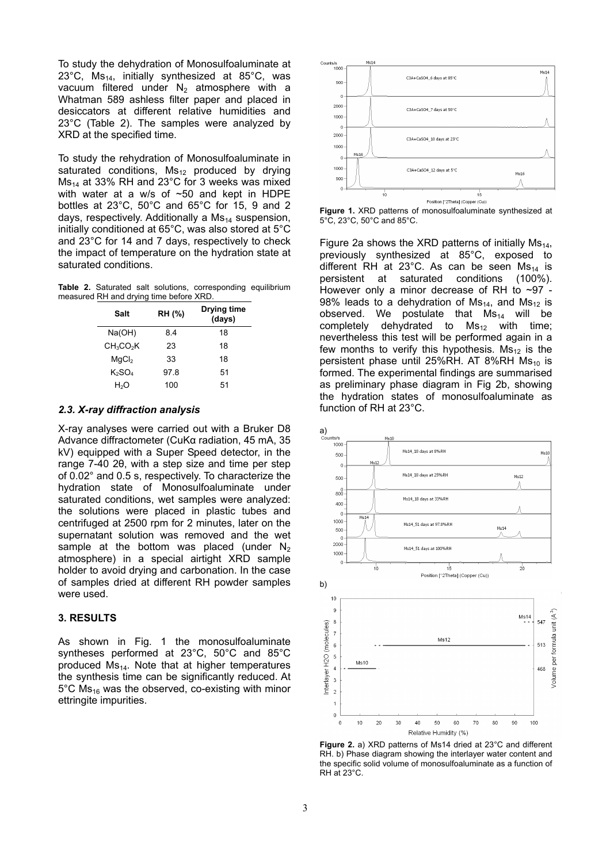To study the dehydration of Monosulfoaluminate at 23 $^{\circ}$ C, Ms<sub>14</sub>, initially synthesized at 85 $^{\circ}$ C, was vacuum filtered under  $N_2$  atmosphere with a Whatman 589 ashless filter paper and placed in desiccators at different relative humidities and 23°C (Table 2). The samples were analyzed by XRD at the specified time.

To study the rehydration of Monosulfoaluminate in saturated conditions,  $Ms_{12}$  produced by drying  $Ms_{14}$  at 33% RH and 23°C for 3 weeks was mixed with water at a w/s of ~50 and kept in HDPE bottles at 23°C, 50°C and 65°C for 15, 9 and 2 days, respectively. Additionally a  $Ms<sub>14</sub>$  suspension, initially conditioned at 65°C, was also stored at 5°C and 23°C for 14 and 7 days, respectively to check the impact of temperature on the hydration state at saturated conditions.

**Table 2.** Saturated salt solutions, corresponding equilibrium measured RH and drying time before XRD.

| Salt                              | RH (%) | Drying time<br>(days) |
|-----------------------------------|--------|-----------------------|
| Na(OH)                            | 84     | 18                    |
| CH <sub>3</sub> CO <sub>2</sub> K | 23     | 18                    |
| MqCl <sub>2</sub>                 | 33     | 18                    |
| K2SO4                             | 97.8   | 51                    |
| H <sub>2</sub> O                  | 100    | 51                    |

## *2.3. X-ray diffraction analysis*

X-ray analyses were carried out with a Bruker D8 Advance diffractometer (CuKα radiation, 45 mA, 35 kV) equipped with a Super Speed detector, in the range 7-40 2θ, with a step size and time per step of 0.02° and 0.5 s, respectively. To characterize the hydration state of Monosulfoaluminate under saturated conditions, wet samples were analyzed: the solutions were placed in plastic tubes and centrifuged at 2500 rpm for 2 minutes, later on the supernatant solution was removed and the wet sample at the bottom was placed (under  $N_2$ atmosphere) in a special airtight XRD sample holder to avoid drying and carbonation. In the case of samples dried at different RH powder samples were used.

## **3. RESULTS**

As shown in Fig. 1 the monosulfoaluminate syntheses performed at 23°C, 50°C and 85°C produced  $Ms_{14}$ . Note that at higher temperatures the synthesis time can be significantly reduced. At  $5^{\circ}$ C Ms<sub>16</sub> was the observed, co-existing with minor ettringite impurities.



**Figure 1.** XRD patterns of monosulfoaluminate synthesized at 5°C, 23°C, 50°C and 85°C.

Figure 2a shows the XRD patterns of initially  $MS<sub>14</sub>$ , previously synthesized at 85°C, exposed to different RH at 23°C. As can be seen  $Ms_{14}$  is persistent at saturated conditions (100%). However only a minor decrease of RH to  $\sim 97$  -98% leads to a dehydration of  $Ms_{14}$ , and  $Ms_{12}$  is observed. We postulate that  $Ms_{14}$  will be completely dehydrated to  $MS_{12}$  with time: nevertheless this test will be performed again in a few months to verify this hypothesis.  $Ms_{12}$  is the persistent phase until 25%RH. AT 8%RH  $Ms_{10}$  is formed. The experimental findings are summarised as preliminary phase diagram in Fig 2b, showing the hydration states of monosulfoaluminate as function of RH at 23°C.



**Figure 2.** a) XRD patterns of Ms14 dried at 23°C and different RH. b) Phase diagram showing the interlayer water content and the specific solid volume of monosulfoaluminate as a function of RH at 23°C.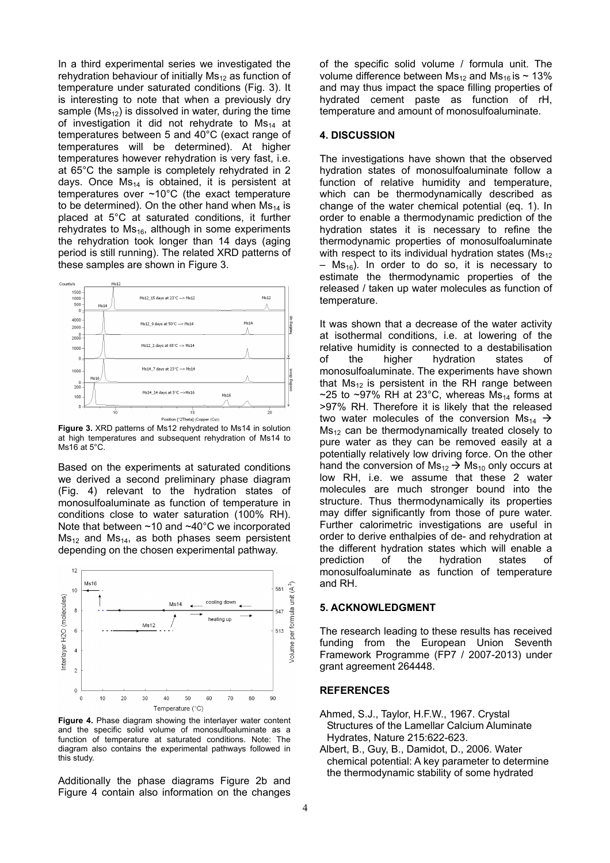In a third experimental series we investigated the rehydration behaviour of initially  $Ms_{12}$  as function of temperature under saturated conditions (Fig. 3). It is interesting to note that when a previously dry sample  $(Ms_{12})$  is dissolved in water, during the time of investigation it did not rehydrate to  $Ms_{14}$  at temperatures between 5 and 40°C (exact range of temperatures will be determined). At higher temperatures however rehydration is very fast, i.e. at 65°C the sample is completely rehydrated in 2 days. Once  $Ms_{14}$  is obtained, it is persistent at temperatures over ~10°C (the exact temperature to be determined). On the other hand when  $Ms_{14}$  is placed at 5°C at saturated conditions, it further rehydrates to  $Ms_{16}$ , although in some experiments the rehydration took longer than 14 days (aging period is still running). The related XRD patterns of these samples are shown in Figure 3.



**Figure 3.** XRD patterns of Ms12 rehydrated to Ms14 in solution at high temperatures and subsequent rehydration of Ms14 to Ms16 at 5°C.

Based on the experiments at saturated conditions we derived a second preliminary phase diagram (Fig. 4) relevant to the hydration states of monosulfoaluminate as function of temperature in conditions close to water saturation (100% RH). Note that between ~10 and ~40°C we incorporated  $Ms_{12}$  and  $Ms_{14}$ , as both phases seem persistent depending on the chosen experimental pathway.



Figure 4. Phase diagram showing the interlayer water content and the specific solid volume of monosulfoaluminate as a function of temperature at saturated conditions. Note: The diagram also contains the experimental pathways followed in this study.

Additionally the phase diagrams Figure 2b and Figure 4 contain also information on the changes

of the specific solid volume / formula unit. The volume difference between  $Ms_{12}$  and  $Ms_{16}$  is ~ 13% and may thus impact the space filling properties of hydrated cement paste as function of rH, temperature and amount of monosulfoaluminate.

## **4. DISCUSSION**

The investigations have shown that the observed hydration states of monosulfoaluminate follow a function of relative humidity and temperature, which can be thermodynamically described as change of the water chemical potential (eq. 1). In order to enable a thermodynamic prediction of the hydration states it is necessary to refine the thermodynamic properties of monosulfoaluminate with respect to its individual hydration states ( $Ms_{12}$ )  $-$  Ms<sub>16</sub>). In order to do so, it is necessary to estimate the thermodynamic properties of the released / taken up water molecules as function of temperature.

It was shown that a decrease of the water activity at isothermal conditions, i.e. at lowering of the relative humidity is connected to a destabilisation of the higher hydration states of monosulfoaluminate. The experiments have shown that  $Ms_{12}$  is persistent in the RH range between ~25 to ~97% RH at 23°C, whereas  $Ms<sub>14</sub>$  forms at >97% RH. Therefore it is likely that the released two water molecules of the conversion  $Ms_{14} \rightarrow$  $Ms<sub>12</sub>$  can be thermodynamically treated closely to pure water as they can be removed easily at a potentially relatively low driving force. On the other hand the conversion of  $Ms_{12} \rightarrow Ms_{10}$  only occurs at low RH, i.e. we assume that these 2 water molecules are much stronger bound into the structure. Thus thermodynamically its properties may differ significantly from those of pure water. Further calorimetric investigations are useful in order to derive enthalpies of de- and rehydration at the different hydration states which will enable a prediction of the hydration states of monosulfoaluminate as function of temperature and RH.

#### **5. ACKNOWLEDGMENT**

The research leading to these results has received funding from the European Union Seventh Framework Programme (FP7 / 2007-2013) under grant agreement 264448.

#### **REFERENCES**

- Ahmed, S.J., Taylor, H.F.W., 1967. Crystal Structures of the Lamellar Calcium Aluminate Hydrates, Nature 215:622-623.
- Albert, B., Guy, B., Damidot, D., 2006. Water chemical potential: A key parameter to determine the thermodynamic stability of some hydrated